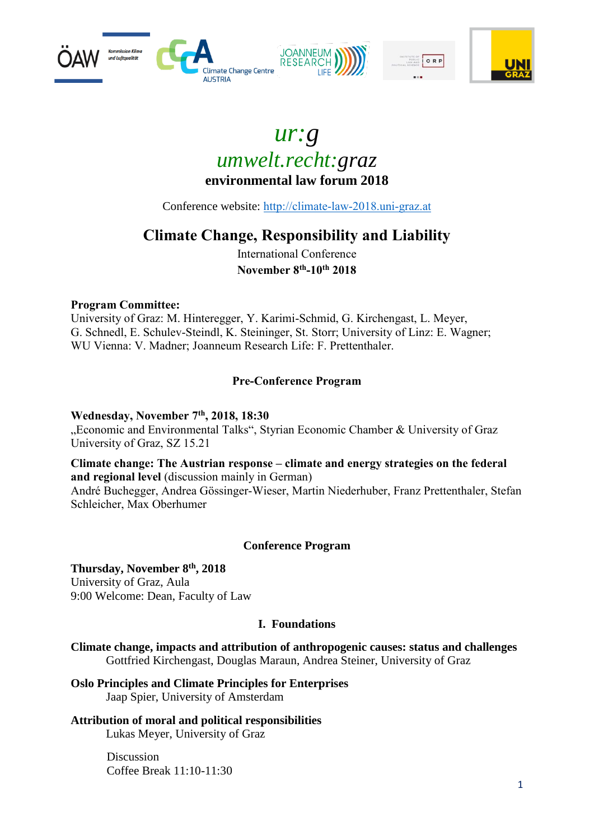





Conference website: [http://climate-law-2018.uni-graz.at](http://climate-law-2018.uni-graz.at/)

# **Climate Change, Responsibility and Liability**

International Conference **November 8th -10th 2018**

#### **Program Committee:**

University of Graz: M. Hinteregger, Y. Karimi-Schmid, G. Kirchengast, L. Meyer, G. Schnedl, E. Schulev-Steindl, K. Steininger, St. Storr; University of Linz: E. Wagner; WU Vienna: V. Madner; Joanneum Research Life: F. Prettenthaler.

## **Pre-Conference Program**

#### **Wednesday, November 7th, 2018, 18:30**

"Economic and Environmental Talks", Styrian Economic Chamber & University of Graz University of Graz, SZ 15.21

#### **Climate change: The Austrian response – climate and energy strategies on the federal and regional level** (discussion mainly in German)

André Buchegger, Andrea Gössinger-Wieser, Martin Niederhuber, Franz Prettenthaler, Stefan Schleicher, Max Oberhumer

## **Conference Program**

## **Thursday, November 8th, 2018**

University of Graz, Aula 9:00 Welcome: Dean, Faculty of Law

#### **I. Foundations**

**Climate change, impacts and attribution of anthropogenic causes: status and challenges** Gottfried Kirchengast, Douglas Maraun, Andrea Steiner, University of Graz

**Oslo Principles and Climate Principles for Enterprises**  Jaap Spier, University of Amsterdam

**Attribution of moral and political responsibilities**  Lukas Meyer, University of Graz

> Discussion Coffee Break 11:10-11:30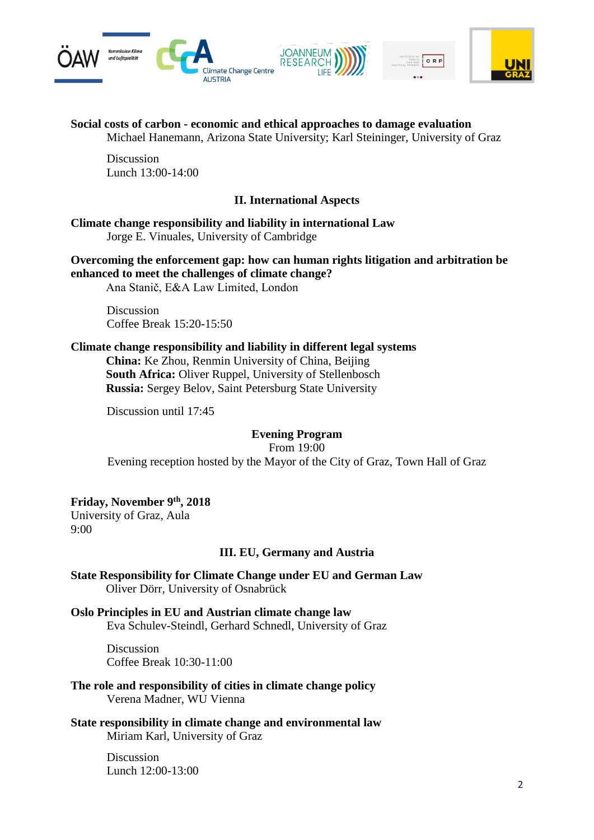

#### **Social costs of carbon - economic and ethical approaches to damage evaluation**

Michael Hanemann, Arizona State University; Karl Steininger, University of Graz

Discussion Lunch 13:00-14:00

#### **II. International Aspects**

**Climate change responsibility and liability in international Law**  Jorge E. Vinuales, University of Cambridge

**Overcoming the enforcement gap: how can human rights litigation and arbitration be enhanced to meet the challenges of climate change?** Ana Stanič, E&A Law Limited, London

**Discussion** Coffee Break 15:20-15:50

#### **Climate change responsibility and liability in different legal systems**

**China:** Ke Zhou, Renmin University of China, Beijing **South Africa:** Oliver Ruppel, University of Stellenbosch **Russia:** Sergey Belov, Saint Petersburg State University

Discussion until 17:45

#### **Evening Program**

From 19:00

Evening reception hosted by the Mayor of the City of Graz, Town Hall of Graz

#### **Friday, November 9th, 2018**

University of Graz, Aula 9:00

#### **III. EU, Germany and Austria**

**State Responsibility for Climate Change under EU and German Law**  Oliver Dörr, University of Osnabrück

**Oslo Principles in EU and Austrian climate change law**  Eva Schulev-Steindl, Gerhard Schnedl, University of Graz

> Discussion Coffee Break 10:30-11:00

**The role and responsibility of cities in climate change policy**  Verena Madner, WU Vienna

**State responsibility in climate change and environmental law** Miriam Karl, University of Graz

> Discussion Lunch 12:00-13:00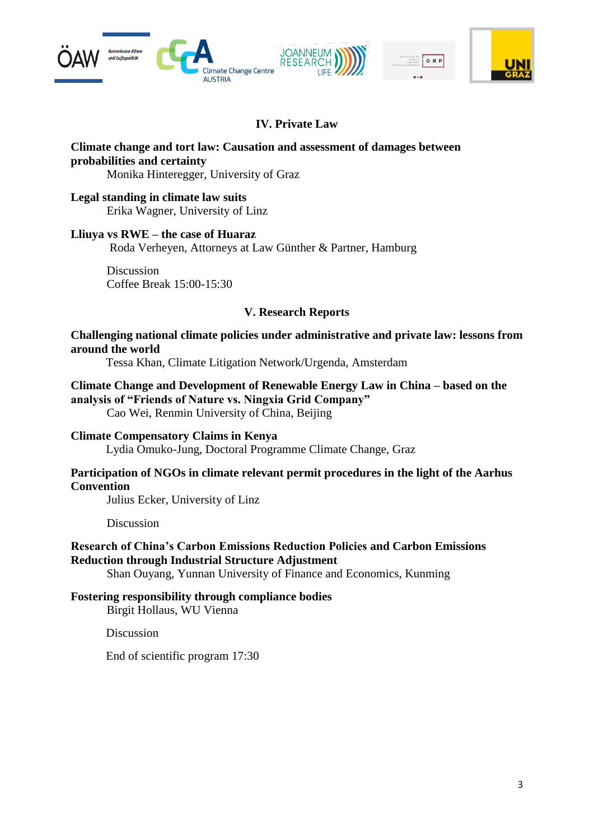



## **IV. Private Law**

# **Climate change and tort law: Causation and assessment of damages between probabilities and certainty**

Monika Hinteregger, University of Graz

**Legal standing in climate law suits** Erika Wagner, University of Linz

#### **Lliuya vs RWE – the case of Huaraz**

Roda Verheyen, Attorneys at Law Günther & Partner, Hamburg

Discussion Coffee Break 15:00-15:30

#### **V. Research Reports**

**Challenging national climate policies under administrative and private law: lessons from around the world**

Tessa Khan, Climate Litigation Network/Urgenda, Amsterdam

#### **Climate Change and Development of Renewable Energy Law in China – based on the analysis of "Friends of Nature vs. Ningxia Grid Company"**

Cao Wei, Renmin University of China, Beijing

#### **Climate Compensatory Claims in Kenya**

Lydia Omuko-Jung, Doctoral Programme Climate Change, Graz

#### **Participation of NGOs in climate relevant permit procedures in the light of the Aarhus Convention**

Julius Ecker, University of Linz

**Discussion** 

#### **Research of China's Carbon Emissions Reduction Policies and Carbon Emissions Reduction through Industrial Structure Adjustment**

Shan Ouyang, Yunnan University of Finance and Economics, Kunming

#### **Fostering responsibility through compliance bodies**

Birgit Hollaus, WU Vienna

Discussion

End of scientific program 17:30